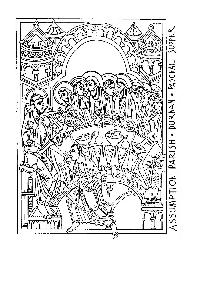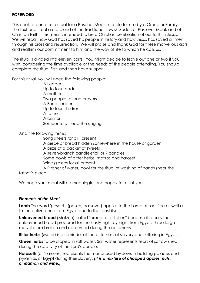# **FOREWORD**

This booklet contains a ritual for a Paschal Meal, suitable for use by a Group or Family. The text and ritual are a blend of the traditional Jewish Seder, or Passover Meal, and of Christian faith. This meal is intended to be a Christian celebration of our faith in Jesus. We will recall how God has saved his people in history and how Jesus has saved all men through his cross and resurrection. We will praise and thank God for these marvellous acts and reaffirm our commitment to him and the way of life to which he calls us.

The ritual is divided into eleven parts. You might decide to leave out one or two if you wish, considering the time available or the needs of the people attending. You should complete the ritual first, and then have supper.

For this ritual, you will need the following people:

 A Leader Up to four readers A mother Two people to lead prayers A Food Leader Up to four children A father A cantor Someone to lead the singing

And the following items:

 Song sheets for all present A piece of bread hidden somewhere in the house or garden A prize of a packet of sweets A seven-branch candle-stick or 7 candles Some bowls of bitter herbs, matzos and haroset Wine glasses for all present A Pitcher of water, bowl for the ritual of washing of hands (near the

father's place

We hope your meal will be meaningful and happy for all of you.

# *Elements of the Meal*

**Lamb** The word 'pesach' (pasch, passover) applies to the Lamb of sacrifice as well as to the deliverance from Egypt and to the feast itself.

**Unleavened bread** (Matzoh) called "bread of affliction" because it recalls the unleavened bread prepared for the hasty flight by night from Egypt. Three large matzohs are broken and consumed during the ceremony.

**Bitter herbs** (Moror) is a reminder of the bitterness of slavery and suffering in Egypt.

**Green herbs** to be dipped in salt water. Salt water represents tears of sorrow shed during the captivity of the Lord's people.

**Haroseth** (or 'haroses') represents the mortar used by Jews in building palaces and pyramids of Egypt during their slavery. *(It is a mixture of chopped apples, nuts, cinnamon and wine.)*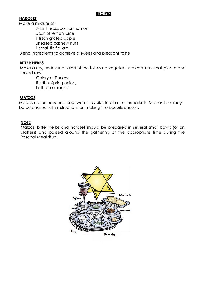#### **RECIPES**

# **HAROSET**

Make a mixture of:

½ to 1 teaspoon cinnamon Dash of lemon juice 1 fresh grated apple

Unsalted cashew nuts

1 small tin fig jam

Blend ingredients to achieve a sweet and pleasant taste

## **BITTER HERBS**

Make a dry, undressed salad of the following vegetables diced into small pieces and served raw:

Celery or Parsley, Radish, Spring onion, Lettuce or rocket

## **MATZOS**

Matzos are unleavened crisp wafers available at all supermarkets. Matzos flour may be purchased with instructions on making the biscuits oneself.

## **NOTE**

Matzos, bitter herbs and haroset should be prepared in several small bowls (or on platters) and passed around the gathering at the appropriate time during the Paschal Meal ritual.



Parsely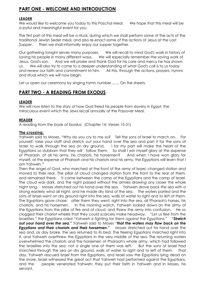# **PART ONE - WELCOME AND INTRODUCTION**

## **LEADER**

We would like to welcome you today to this Paschal Meal. We hope that this meal will be a joyful and meaningful event for you.

The first part of this meal will be a ritual, during which we shall perform some of the acts of the traditional Jewish Seder meal, and also re-enact some of the actions of Jesus at the Last Supper. Then we shall informally enjoy our supper together.

Our gathering tonight serves many purposes. We will recall to mind God's work in history of saving his people in many different ways. We will especially remember the saving work of Jesus, God's son. And we will praise and thank God for his care and mercy he has shown us. We will also try to come to a deeper understanding of what God's call is to us today and renew our faith and commitment to him. All this, through the actions, prayers, hymns and ritual which we will now begin.

Let us open our ceremony by singing hymn number........ On the sheets.

# **PART TWO - A READING FROM EXODUS**

### **LEADER**

We will now listen to the story of how God freed his people from slavery in Egypt, the miraculous event which the Jews recall annually at the Passover Meal.

## **READER**

A reading from the book of Exodus: (Chapter 14: Verses 15-31)

### **The crossing:**

Yahweh said to Moses, "Why do you cry to me so? Tell the sons of Israel to march on. For yourself, raise your staff and stretch out your hand over the sea and part it for the sons of Israel to walk through the sea on dry ground. I for my part will make the heart of the Egyptians so stubborn that they will follow them. So shall I win myself glory at the expense of Pharaoh, of all his army, his chariots, his horsemen? And when I have won glory for myself, at the expense of Pharaoh and his chariots and his army, the Egyptians will learn that I am Yahweh."'

Then the angel of God, who marched at the front of the army of Israel, changed station and moved to their rear. The pillar of cloud changed station from the front to the rear of them, and remained there. It came between the camp of the Egyptians and the camp of Israel. The cloud was dark, and the night passed without the armies drawing any closer the whole night long. Moses stretched out his hand over the sea. Yahweh drove back the sea with a strong easterly wind all night, and he made dry land of the sea. The waters parted and the sons of Israel went on dry ground right into the sea, walls of water to right and to left of them. The Egyptians gave chase: after them they went, right into the sea, all Pharaoh's horses, his chariots, and his horsemen. In the morning watch, Yahweh looked down on the army of the Egyptians from the pillar of fire and of cloud, and threw the army into confusion. He so clogged their chariot wheels that they could scarcely make headway. *"Let us flee from the Israelites,"* the Egyptians cried *"Yahweh is fighting for them against the Egyptians." "Stretch out your hand over the sea,"* Yahweh said to Moses "*that the waters may flow back on the Egyptians and their chariots and their horsemen."* Moses stretched out his hand over the sea and, as day broke, the sea returned to its bed. The fleeing Egyptians marched right into it, and Yahweh overthrew the Egyptians in the very middle of the sea. The returning waters overwhelmed the chariots and the horsemen of Pharaoh's whole army, which had followed the Israelites into the sea; not a single one of them was left. But the sons of Israel had marched through the sea on dry ground, walls of water to right and to left of them. That day, Yahweh rescued Israel from the Egyptians, and Israel saw the Egyptians lying dead on the shore. Israel witnessed the great act that Yahweh had performed against the Egyptians, and the people venerated Yahweh; they put their faith in Yahweh and in Moses, his servant.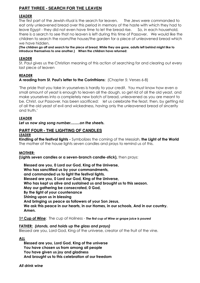# **PART THREE - SEARCH FOR THE LEAVEN**

### **LEADER**

The first part of the Jewish ritual is the search for leaven. The Jews were commanded to eat only unleavened bread over this period in memory of the haste with which they had to leave Egypt - they did not even have time to let the bread rise. So, in each household, there is a search to see that no leaven is left during this time of Passover. We would like the children to search the room/the house/the garden for a piece of unleavened bread which we have hidden.

**(The children go off and search for the piece of bread. While they are gone, adults left behind might like to introduce themselves to one another.) When the children have returned:** 

#### **LEADER**

St. Paul gives us the Christian meaning of this action of searching for and clearing out every last piece of leaven

#### **READER**

### **A reading from St. Paul's letter to the Corinthians:** (Chapter 5: Verses 6-8)

'The pride that you take in yourselves is hardly to your credit. You must know how even a small amount of yeast is enough to leaven all the dough, so get rid of all the old yeast, and make yourselves into a completely new batch of bread, unleavened as you are meant to be. Christ, our Passover, has been sacrificed: let us celebrate the feast, then, by getting rid of all the old yeast of evil and wickedness, having only the unleavened bread of sincerity and truth.'

#### **LEADER**

*Let us now sing song number.........on the sheets.* 

## **PART FOUR - THE LIGHTING OF CANDLES**

#### **LEADER**

**Kindling of the festival lights -** Symbolizes the coming of the Messiah, **the Light of the World**  The mother of the house lights seven candles and prays to remind us of this.

#### **MOTHER:**

**(Lights seven candles or a seven-branch candle-stick),** then prays:

**Blessed are you, 0 Lord our God, King of the Universe, Who has sanctified us by your commandments, and commanded us to light the festival lights. Blessed are you, 0 Lord our God, King of the Universe, Who has kept us alive and sustained us and brought us to this season. May our gathering be consecrated, 0 God, By the light of your countenance Shining upon us in blessing And bringing us peace as followers of your Son Jesus, We ask this peace in our hearts, in our Homes, in our schools, And in our country. Amen.** 

#### **1st Cup of Wine**: The cup of Holiness - *The first cup of Wine or grape juice is poured*

**FATHER:** *(stands, and holds up the glass and prays)*  Blessed are you, Lord God, King of the universe, creator of the fruit of the vine.

**ALL**

**Blessed are you, Lord God, King of the universe You have chosen us from among all people You have given us joy and gladness And brought us to this celebration of our freedom**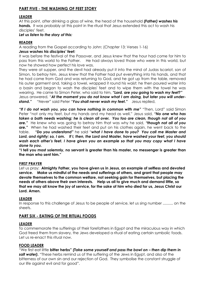# **PART FIVE - THE WASHING OF FEET STORY**

### **LEADER**

At this point, after drinking a glass of wine, the head of the household *(Father) washes his hands.* It was probably at this point in the ritual that Jesus extended this act to wash his disciples' feet.

## *Let us listen to the story of this:*

## **READER**

A reading from the Gospel according to John: (Chapter 13: Verses 1-16)

#### *Jesus washes his disciples' feet:*

It was before the festival of the Passover, and Jesus knew that the hour had come for him to pass from this world to the Father. He had always loved those who were in this world, but now he showed how perfect his love was.

They were at supper, and the devil had already put it into the mind of Judas Iscariot, son of Simon, to betray him. Jesus knew that the Father had put everything into his hands, and that he had come from God and was returning to God, and he got up from the table, removed his outer garment and, taking a towel, wrapped it round his waist; he then poured water into a basin and began to wash the disciples' feet and to wipe them with the towel he was wearing. He came to Simon Peter, who said to him, *"Lord, are you going to wash my feet?"*  Jesus answered, "*At the moment you do not know what I am doing, but later you will understand."* "Never" said Peter "*You shall never wash my feet."* Jesus replied,

*"If I do not wash you, you can have nothing in common with me"* "Then, Lord" said Simon Peter "not only my feet, but my hands and my head as well." Jesus said, *"No one who has taken a bath needs washing; he is clean all over. You too are clean, though not all of you are."* He knew who was going to betray him that was why he said, *"though not all of you are."* When he had washed their feet and put on his clothes again, he went back to the table. *"Do you understand"* he said "*what I have done to you? You call me Master and Lord, and rightly; so, I am. If I, then, the Lord and Master, have washed your feet, you should wash each other's feet. I have given you an example so that you may copy what I have done to you.* 

**"I tell you most solemnly, no servant is greater than his master, no messenger is greater than the man who sent him."** 

### **FIRST PRAYER**

Let us pray: **Almighty Father, you have given us in Jesus, an example of selfless and devoted service. Make us mindful of the needs and sufferings of others, and grant that people may devote themselves to the common welfare, not seeking gain for themselves, but placing the needs of others above their own interests. Help us all to give much and demand little, so that we may all know the joy of service, for the sake of him who died for us, Jesus Christ our Lord. Amen.** 

### **LEADER**

In response to this challenge of Jesus to be people of service, let us sing number .......... on the sheets.

## **PART SIX - EATING OF THE RITUAL FOODS**

### **LEADER**

To commemorate the sufferings of their forefathers in Egypt and the miraculous way in which God freed them from slavery, the Jews developed a ritual of eating certain symbolic foods. Let us re-enact this ritual now.

### **FOOD LEADER**

"We first eat little **bitter herbs"** *(Take some yourself and pass the bowl on – then dip them in*  **salt water).** "These herbs remind us of the suffering of the Jews in Egypt, and also of the bitterness of our own sin and our rejection of God. They symbolise the constant struggle of our life against evil and for good".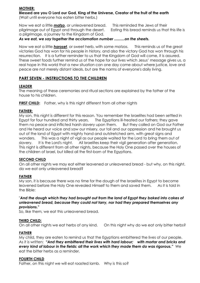### **MOTHER:**

## **Blessed are you O Lord our God, King of the Universe, Creator of the fruit of the earth**

(Wait until everyone has eaten bitter herbs.)

Now we eat a little *matzo*, or unleavened bread. This reminded the Jews of their pilgrimage out of Egypt and through the desert. Eating this bread reminds us that this life is a pilgrimage, a journey to the Kingdom of God.

## *As we eat, we say together the acclamation number ..........on the sheets.*

Now we eat a little *haroset*, or sweet herb, with some matzos. This reminds us of the great victories God has won for his people in history, and also the victory God has won through his resurrection. It is a further reminder to us that the Kingdom of God will come, it is assured. These sweet foods further remind us of the hope for our lives which Jesus' message gives us, a real hope in this world that a new situation can one day come about where justice, love and peace are not merely distant ideals, but are the norms of everyone's daily living.

## **PART SEVEN - INSTRUCTIONS TO THE CHILDREN**

## **LEADER**

The meaning of these ceremonies and ritual sections are explained by the father of the house to his children.

**FIRST CHILD:** Father, why is this night different from all other nights

## **FATHER:**

My son, this night is different for this reason. You remember the Israelites had been settled in Egypt for four hundred and thirty years. The Egyptians ill-treated our fathers; they gave them no peace and inflicted harsh slavery upon them. But they called on God our Father and He heard our voice and saw our misery, our toil and our oppression and he brought us out of the land of Egypt with mighty hand and outstretched arm, with great signs and wonders. This was a night of vigil as our people waited for the Lord to bring them out of slavery. It is the Lord's night. All Israelites keep their vigil generation after generation. This night is different from all other nights, because the Holy One passed over the houses of the children of Israel, but killed all the first-born of the Egyptians.

### **SECOND CHILD**

On all other nights we may eat either leavened or unleavened bread - but why, on this night, do we eat only unleavened bread?

## **FATHER**

My son, it is because there was no time for the dough of the Israelites in Egypt to become leavened before the Holy One revealed Himself to them and saved them. As it is told in the Bible:

#### "*And the dough which they had brought out from the land of Egypt they baked into cakes of unleavened bread, because they could not tarry, nor had they prepared themselves any provisions."*

So, like them, we eat this unleavened bread.

### **THIRD CHILD:**

On all other nights we eat herbs of any kind. On this night why do we eat only bitter herbs?

## **FATHER**

My child, they are eaten to remind us that the Egyptians embittered the lives of our people. As it is written: *"And they embittered their lives with hard labour; with mortar and bricks and every kind of labour in the fields: all the work which they made them do was rigorous."* We eat the bitter herbs as a reminder.

### **FOURTH CHILD**

Father, on this night we will eat roasted lamb. Why is this so?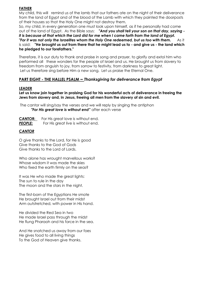## **FATHER**

My child, this will remind us of the lamb that our fathers ate on the night of their deliverance from the land of Egypt and of the blood of the Lamb with which they painted the doorposts of their houses so that the Holy One might not destroy them.

So, my child, in every generation one must look upon himself, as if he personally had come out of the land of Egypt. As the Bible says: *"And you shall tell your son on that day, saying it is because of that which the Lord did for me when I came forth from the land of Egypt. "For it was not only the Israelites whom the Holy One redeemed, but us too with them.* As it is said: **"He brought us out from there that he might lead us to - and give us - the land which he pledged to our forefathers."**

Therefore, it is our duty to thank and praise in song and prayer, to glorify and extol him who performed all these wonders for the people of Israel and us. He brought us from slavery to freedom from anguish to joy, from sorrow to festivity, from darkness to great light. Let us therefore sing before Him a new song. Let us praise the Eternal One.

## **PART EIGHT - THE HALLEL PSALM –** *Thanksgiving for deliverance from Egypt*

### **LEADER**

**Let us know join together in praising God for his wonderful acts of deliverance in freeing the Jews from slavery and, in Jesus, freeing all men from the slavery of sin and evil.** 

 The cantor will sing/say the verses and we will reply by singing the antiphon **"For His great love is without end"** after each verse

**CANTOR:** For His great love is without end. **PEOPLE:** For His great live is without end.

## *CANTOR*

O give thanks to the Lord, for He is good Give thanks to the God of Gods Give thanks to the Lord of Lords.

Who alone has wrought marvellous works? Whose wisdom it was made the skies Who fixed the earth firmly on the seas?

It was He who made the great lights: The sun to rule in the day The moon and the stars in the night.

The first-born of the Egyptians He smote He brought Israel out from their midst Arm outstretched, with power in His hand.

He divided the Red Sea in two He made Israel pass through the midst He flung Pharaoh and his force in the sea.

And He snatched us away from our foes He gives food to all living things To the God of Heaven give thanks.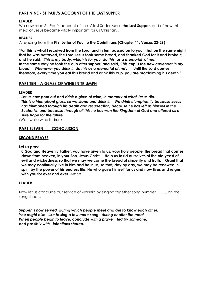# **PART NINE - ST PAUL'S ACCOUNT OF THE LAST SUPPER**

## **LEADER**

We now read St. Paul's account of Jesus' last Seder Meal, **the Last Supper,** and of how this meal of Jesus became vitally important for us Christians.

## **READER**

A reading from the **First Letter of Paul to the Corinthians (Chapter 11: Verses 23-26)**

**"For this is what I received from the Lord, and in turn passed on to you: that on the same night that he was betrayed, the Lord Jesus took some bread, and thanked God for it and broke it, and he said,** *'This is my body, which is for you; do this as a memorial of me.* **In the same way he took the cup after supper, and said,** *'This cup is the new covenant in my blood. Whenever you drink it, do this as a memorial of me'.* **Until the Lord comes, therefore, every time you eat this bread and drink this cup, you are proclaiming his death."** 

## **PART TEN - A GLASS OF WINE IN TRIUMPH**

### **LEADER**

*Let us now pour out and drink a glass of wine, in memory of what Jesus did. This is a triumphant glass, so we stand and drink it. We drink triumphantly because Jesus has triumphed through his death and resurrection, because he has left us himself in the Eucharist, and because through all this he has won the Kingdom of God and offered us a sure hope for the future*.

(Wait while wine is drunk)

## **PART ELEVEN - CONCLUSION**

### **SECOND PRAYER**

**Let us pray:** 

**0 God and Heavenly Father, you have given to us, your holy people, the bread that comes down from heaven, in your Son, Jesus Christ. Help us to rid ourselves of the old yeast of evil and wickedness so that we may welcome the bread of sincerity and truth. Grant that we may continually live in him and he in us, so that, day by day, we may be renewed in spirit by the power of his endless life, He who gave himself for us and now lives and reigns with you for ever and ever.** Amen.

### **LEADER**

Now let us conclude our service of worship by singing together song number .......... on the song-sheets.

*Supper is now served, during which people meet and get to know each other. You might also like to sing a few more song during or after the meal. When people begin to leave, conclude with a prayer led by someone, and possibly with intentions shared.*